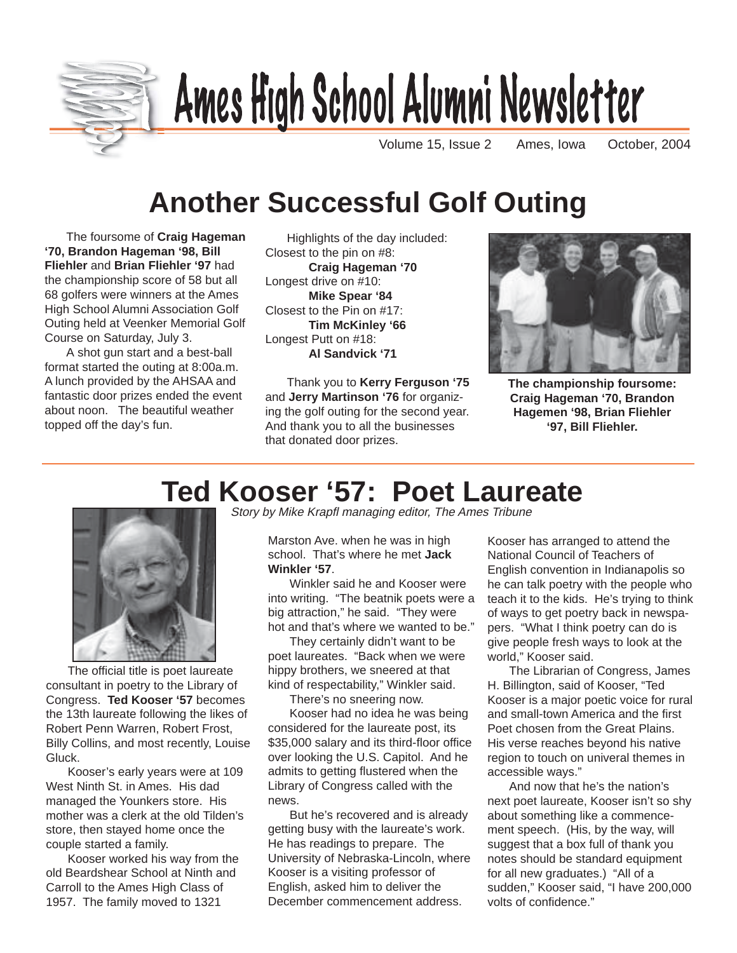

# Ames High School Alumni Newsletter

Volume 15, Issue 2 Ames, Iowa October, 2004

# **Another Successful Golf Outing**

The foursome of **Craig Hageman '70, Brandon Hageman '98, Bill Fliehler** and **Brian Fliehler '97** had the championship score of 58 but all 68 golfers were winners at the Ames High School Alumni Association Golf Outing held at Veenker Memorial Golf Course on Saturday, July 3.

A shot gun start and a best-ball format started the outing at 8:00a.m. A lunch provided by the AHSAA and fantastic door prizes ended the event about noon. The beautiful weather topped off the day's fun.

Highlights of the day included: Closest to the pin on #8: **Craig Hageman '70** Longest drive on #10: **Mike Spear '84** Closest to the Pin on #17: **Tim McKinley '66** Longest Putt on #18: **Al Sandvick '71**

Thank you to **Kerry Ferguson '75** and **Jerry Martinson '76** for organizing the golf outing for the second year. And thank you to all the businesses that donated door prizes.



**The championship foursome: Craig Hageman '70, Brandon Hagemen '98, Brian Fliehler '97, Bill Fliehler.**

# **Ted Kooser '57: Poet Laureate**



The official title is poet laureate consultant in poetry to the Library of Congress. **Ted Kooser '57** becomes the 13th laureate following the likes of Robert Penn Warren, Robert Frost, Billy Collins, and most recently, Louise Gluck.

Kooser's early years were at 109 West Ninth St. in Ames. His dad managed the Younkers store. His mother was a clerk at the old Tilden's store, then stayed home once the couple started a family.

Kooser worked his way from the old Beardshear School at Ninth and Carroll to the Ames High Class of 1957. The family moved to 1321

Story by Mike Krapfl managing editor, The Ames Tribune

Marston Ave. when he was in high school. That's where he met **Jack Winkler '57**.

Winkler said he and Kooser were into writing. "The beatnik poets were a big attraction," he said. "They were hot and that's where we wanted to be."

They certainly didn't want to be poet laureates. "Back when we were hippy brothers, we sneered at that kind of respectability," Winkler said.

There's no sneering now.

Kooser had no idea he was being considered for the laureate post, its \$35,000 salary and its third-floor office over looking the U.S. Capitol. And he admits to getting flustered when the Library of Congress called with the news.

But he's recovered and is already getting busy with the laureate's work. He has readings to prepare. The University of Nebraska-Lincoln, where Kooser is a visiting professor of English, asked him to deliver the December commencement address.

Kooser has arranged to attend the National Council of Teachers of English convention in Indianapolis so he can talk poetry with the people who teach it to the kids. He's trying to think of ways to get poetry back in newspapers. "What I think poetry can do is give people fresh ways to look at the world," Kooser said.

The Librarian of Congress, James H. Billington, said of Kooser, "Ted Kooser is a major poetic voice for rural and small-town America and the first Poet chosen from the Great Plains. His verse reaches beyond his native region to touch on univeral themes in accessible ways."

And now that he's the nation's next poet laureate, Kooser isn't so shy about something like a commencement speech. (His, by the way, will suggest that a box full of thank you notes should be standard equipment for all new graduates.) "All of a sudden," Kooser said, "I have 200,000 volts of confidence."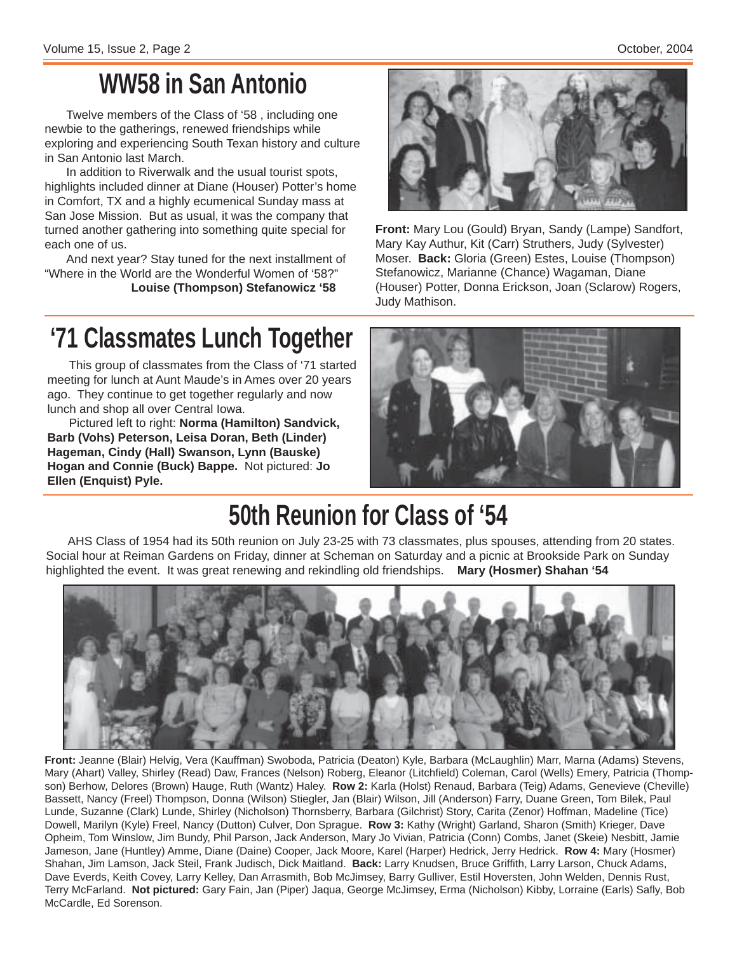# **WW58 in San Antonio**

Twelve members of the Class of '58 , including one newbie to the gatherings, renewed friendships while exploring and experiencing South Texan history and culture in San Antonio last March.

In addition to Riverwalk and the usual tourist spots, highlights included dinner at Diane (Houser) Potter's home in Comfort, TX and a highly ecumenical Sunday mass at San Jose Mission. But as usual, it was the company that turned another gathering into something quite special for each one of us.

And next year? Stay tuned for the next installment of "Where in the World are the Wonderful Women of '58?" **Louise (Thompson) Stefanowicz '58**



**Front:** Mary Lou (Gould) Bryan, Sandy (Lampe) Sandfort, Mary Kay Authur, Kit (Carr) Struthers, Judy (Sylvester) Moser. **Back:** Gloria (Green) Estes, Louise (Thompson) Stefanowicz, Marianne (Chance) Wagaman, Diane (Houser) Potter, Donna Erickson, Joan (Sclarow) Rogers, Judy Mathison.

# **'71 Classmates Lunch Together**

This group of classmates from the Class of '71 started meeting for lunch at Aunt Maude's in Ames over 20 years ago. They continue to get together regularly and now lunch and shop all over Central Iowa.

Pictured left to right: **Norma (Hamilton) Sandvick, Barb (Vohs) Peterson, Leisa Doran, Beth (Linder) Hageman, Cindy (Hall) Swanson, Lynn (Bauske) Hogan and Connie (Buck) Bappe.** Not pictured: **Jo Ellen (Enquist) Pyle.**



# **50th Reunion for Class of '54**

AHS Class of 1954 had its 50th reunion on July 23-25 with 73 classmates, plus spouses, attending from 20 states. Social hour at Reiman Gardens on Friday, dinner at Scheman on Saturday and a picnic at Brookside Park on Sunday highlighted the event. It was great renewing and rekindling old friendships. **Mary (Hosmer) Shahan '54**



**Front:** Jeanne (Blair) Helvig, Vera (Kauffman) Swoboda, Patricia (Deaton) Kyle, Barbara (McLaughlin) Marr, Marna (Adams) Stevens, Mary (Ahart) Valley, Shirley (Read) Daw, Frances (Nelson) Roberg, Eleanor (Litchfield) Coleman, Carol (Wells) Emery, Patricia (Thompson) Berhow, Delores (Brown) Hauge, Ruth (Wantz) Haley. **Row 2:** Karla (Holst) Renaud, Barbara (Teig) Adams, Genevieve (Cheville) Bassett, Nancy (Freel) Thompson, Donna (Wilson) Stiegler, Jan (Blair) Wilson, Jill (Anderson) Farry, Duane Green, Tom Bilek, Paul Lunde, Suzanne (Clark) Lunde, Shirley (Nicholson) Thornsberry, Barbara (Gilchrist) Story, Carita (Zenor) Hoffman, Madeline (Tice) Dowell, Marilyn (Kyle) Freel, Nancy (Dutton) Culver, Don Sprague. **Row 3:** Kathy (Wright) Garland, Sharon (Smith) Krieger, Dave Opheim, Tom Winslow, Jim Bundy, Phil Parson, Jack Anderson, Mary Jo Vivian, Patricia (Conn) Combs, Janet (Skeie) Nesbitt, Jamie Jameson, Jane (Huntley) Amme, Diane (Daine) Cooper, Jack Moore, Karel (Harper) Hedrick, Jerry Hedrick. **Row 4:** Mary (Hosmer) Shahan, Jim Lamson, Jack Steil, Frank Judisch, Dick Maitland. **Back:** Larry Knudsen, Bruce Griffith, Larry Larson, Chuck Adams, Dave Everds, Keith Covey, Larry Kelley, Dan Arrasmith, Bob McJimsey, Barry Gulliver, Estil Hoversten, John Welden, Dennis Rust, Terry McFarland. **Not pictured:** Gary Fain, Jan (Piper) Jaqua, George McJimsey, Erma (Nicholson) Kibby, Lorraine (Earls) Safly, Bob McCardle, Ed Sorenson.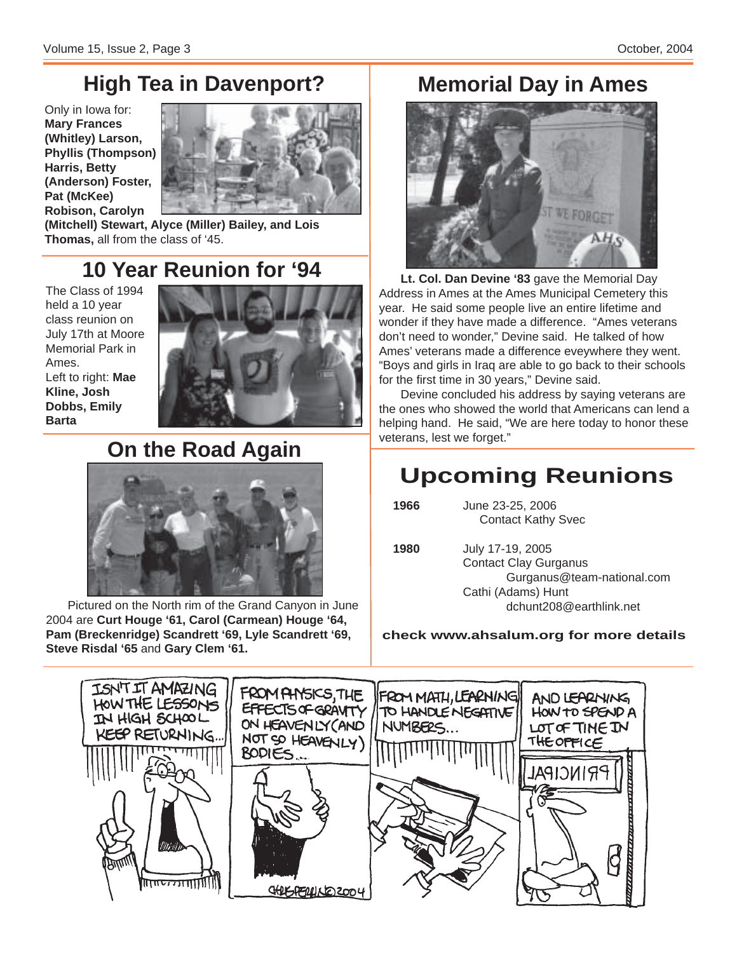## **High Tea in Davenport?**

Only in Iowa for: **Mary Frances (Whitley) Larson, Phyllis (Thompson) Harris, Betty (Anderson) Foster, Pat (McKee) Robison, Carolyn**



**(Mitchell) Stewart, Alyce (Miller) Bailey, and Lois Thomas,** all from the class of '45.

### **10 Year Reunion for '94**

The Class of 1994 held a 10 year class reunion on July 17th at Moore Memorial Park in Ames. Left to right: **Mae Kline, Josh Dobbs, Emily Barta**



# **On the Road Again** veterans, lest we forget."



Pictured on the North rim of the Grand Canyon in June 2004 are **Curt Houge '61, Carol (Carmean) Houge '64, Pam (Breckenridge) Scandrett '69, Lyle Scandrett '69, Steve Risdal '65** and **Gary Clem '61.**

### **Memorial Day in Ames**



**Lt. Col. Dan Devine '83** gave the Memorial Day Address in Ames at the Ames Municipal Cemetery this year. He said some people live an entire lifetime and wonder if they have made a difference. "Ames veterans don't need to wonder," Devine said. He talked of how Ames' veterans made a difference eveywhere they went. "Boys and girls in Iraq are able to go back to their schools for the first time in 30 years," Devine said.

Devine concluded his address by saying veterans are the ones who showed the world that Americans can lend a helping hand. He said, "We are here today to honor these

## **Upcoming Reunions**

 **1966** June 23-25, 2006 Contact Kathy Svec

 **1980** July 17-19, 2005 Contact Clay Gurganus Gurganus@team-national.com Cathi (Adams) Hunt dchunt208@earthlink.net

#### **check www.ahsalum.org for more details**

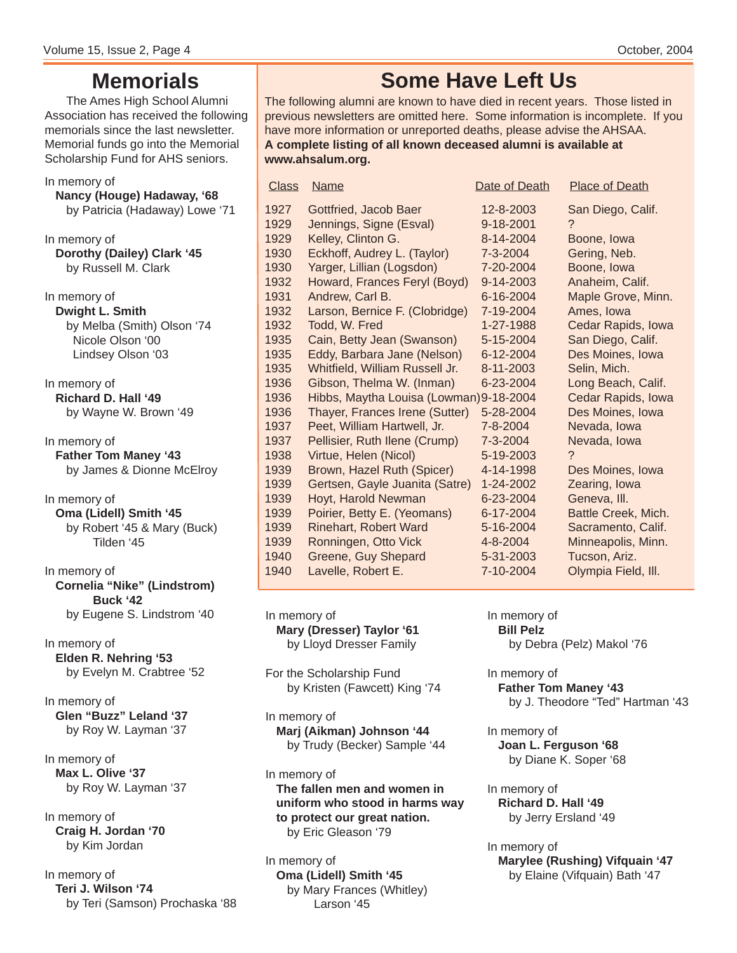### **Memorials**

The Ames High School Alumni Association has received the following memorials since the last newsletter. Memorial funds go into the Memorial Scholarship Fund for AHS seniors.

### In memory of

**Nancy (Houge) Hadaway, '68** by Patricia (Hadaway) Lowe '71

In memory of **Dorothy (Dailey) Clark '45** by Russell M. Clark

In memory of **Dwight L. Smith** by Melba (Smith) Olson '74 Nicole Olson '00 Lindsey Olson '03

In memory of **Richard D. Hall '49** by Wayne W. Brown '49

In memory of **Father Tom Maney '43** by James & Dionne McElroy

In memory of **Oma (Lidell) Smith '45** by Robert '45 & Mary (Buck) Tilden '45

In memory of **Cornelia "Nike" (Lindstrom) Buck '42** by Eugene S. Lindstrom '40

In memory of **Elden R. Nehring '53** by Evelyn M. Crabtree '52

In memory of **Glen "Buzz" Leland '37** by Roy W. Layman '37

In memory of **Max L. Olive '37** by Roy W. Layman '37

In memory of **Craig H. Jordan '70** by Kim Jordan

In memory of **Teri J. Wilson '74** by Teri (Samson) Prochaska '88

### **Some Have Left Us**

The following alumni are known to have died in recent years. Those listed in previous newsletters are omitted here. Some information is incomplete. If you have more information or unreported deaths, please advise the AHSAA. **A complete listing of all known deceased alumni is available at www.ahsalum.org.**

| <b>Class</b> | <b>Name</b>                             | Date of Death | <b>Place of Death</b> |
|--------------|-----------------------------------------|---------------|-----------------------|
| 1927         | Gottfried, Jacob Baer                   | 12-8-2003     | San Diego, Calif.     |
| 1929         | Jennings, Signe (Esval)                 | 9-18-2001     | ?                     |
| 1929         | Kelley, Clinton G.                      | 8-14-2004     | Boone, Iowa           |
| 1930         | Eckhoff, Audrey L. (Taylor)             | 7-3-2004      | Gering, Neb.          |
| 1930         | Yarger, Lillian (Logsdon)               | 7-20-2004     | Boone, Iowa           |
| 1932         | Howard, Frances Feryl (Boyd)            | 9-14-2003     | Anaheim, Calif.       |
| 1931         | Andrew, Carl B.                         | 6-16-2004     | Maple Grove, Minn.    |
| 1932         | Larson, Bernice F. (Clobridge)          | 7-19-2004     | Ames, Iowa            |
| 1932         | Todd, W. Fred                           | 1-27-1988     | Cedar Rapids, Iowa    |
| 1935         | Cain, Betty Jean (Swanson)              | 5-15-2004     | San Diego, Calif.     |
| 1935         | Eddy, Barbara Jane (Nelson)             | 6-12-2004     | Des Moines, Iowa      |
| 1935         | Whitfield, William Russell Jr.          | 8-11-2003     | Selin, Mich.          |
| 1936         | Gibson, Thelma W. (Inman)               | 6-23-2004     | Long Beach, Calif.    |
| 1936         | Hibbs, Maytha Louisa (Lowman) 9-18-2004 |               | Cedar Rapids, Iowa    |
| 1936         | Thayer, Frances Irene (Sutter)          | 5-28-2004     | Des Moines, Iowa      |
| 1937         | Peet, William Hartwell, Jr.             | 7-8-2004      | Nevada, Iowa          |
| 1937         | Pellisier, Ruth Ilene (Crump)           | 7-3-2004      | Nevada, Iowa          |
| 1938         | Virtue, Helen (Nicol)                   | 5-19-2003     | ?                     |
| 1939         | Brown, Hazel Ruth (Spicer)              | 4-14-1998     | Des Moines, Iowa      |
| 1939         | Gertsen, Gayle Juanita (Satre)          | 1-24-2002     | Zearing, Iowa         |
| 1939         | Hoyt, Harold Newman                     | 6-23-2004     | Geneva, III.          |
| 1939         | Poirier, Betty E. (Yeomans)             | 6-17-2004     | Battle Creek, Mich.   |
| 1939         | <b>Rinehart, Robert Ward</b>            | 5-16-2004     | Sacramento, Calif.    |
| 1939         | Ronningen, Otto Vick                    | 4-8-2004      | Minneapolis, Minn.    |
| 1940         | Greene, Guy Shepard                     | 5-31-2003     | Tucson, Ariz.         |
| 1940         | Lavelle, Robert E.                      | 7-10-2004     | Olympia Field, III.   |

In memory of **Mary (Dresser) Taylor '61** by Lloyd Dresser Family

For the Scholarship Fund by Kristen (Fawcett) King '74

In memory of **Marj (Aikman) Johnson '44** by Trudy (Becker) Sample '44

In memory of **The fallen men and women in uniform who stood in harms way to protect our great nation.** by Eric Gleason '79

In memory of **Oma (Lidell) Smith '45** by Mary Frances (Whitley) Larson '45

In memory of **Bill Pelz** by Debra (Pelz) Makol '76

In memory of **Father Tom Maney '43** by J. Theodore "Ted" Hartman '43

In memory of **Joan L. Ferguson '68** by Diane K. Soper '68

In memory of **Richard D. Hall '49** by Jerry Ersland '49

In memory of **Marylee (Rushing) Vifquain '47** by Elaine (Vifquain) Bath '47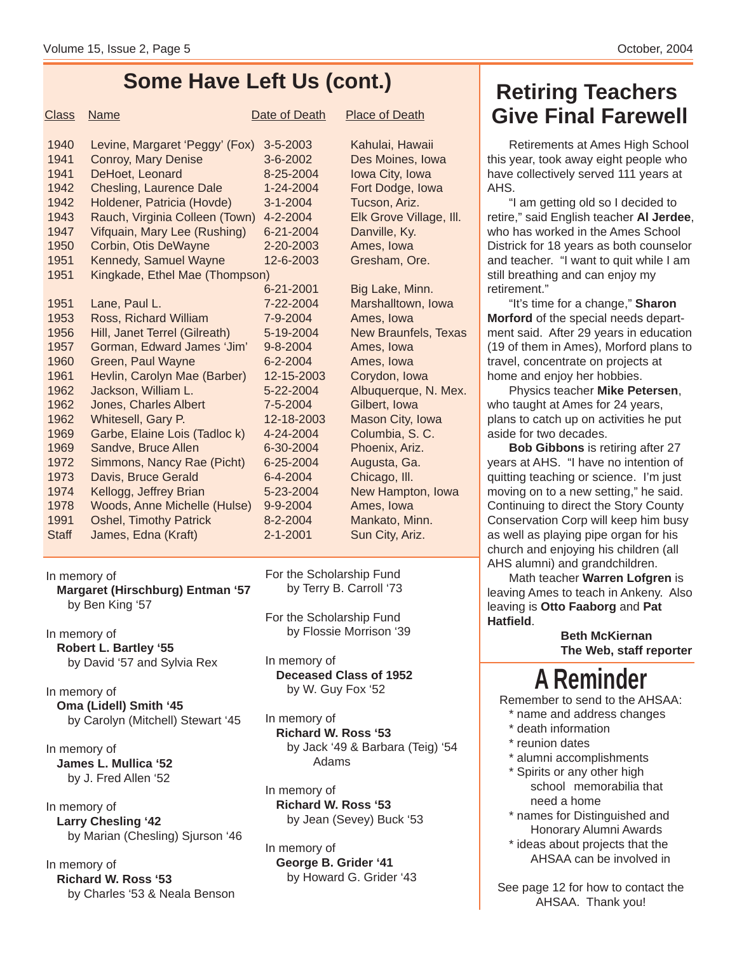### **Some Have Left Us (cont.)**

| <b>Class</b> | <b>Name</b>                    | Date of Death  | <b>Place of Death</b>       |
|--------------|--------------------------------|----------------|-----------------------------|
| 1940         | Levine, Margaret 'Peggy' (Fox) | 3-5-2003       | Kahulai, Hawaii             |
| 1941         | <b>Conroy, Mary Denise</b>     | 3-6-2002       | Des Moines, Iowa            |
| 1941         | DeHoet, Leonard                | 8-25-2004      | Iowa City, Iowa             |
| 1942         | <b>Chesling, Laurence Dale</b> | 1-24-2004      | Fort Dodge, Iowa            |
| 1942         | Holdener, Patricia (Hovde)     | $3 - 1 - 2004$ | Tucson, Ariz.               |
| 1943         | Rauch, Virginia Colleen (Town) | 4-2-2004       | Elk Grove Village, III.     |
| 1947         | Vifquain, Mary Lee (Rushing)   | 6-21-2004      | Danville, Ky.               |
| 1950         | Corbin, Otis DeWayne           | 2-20-2003      | Ames, Iowa                  |
| 1951         | Kennedy, Samuel Wayne          | 12-6-2003      | Gresham, Ore.               |
| 1951         | Kingkade, Ethel Mae (Thompson) |                |                             |
|              |                                | 6-21-2001      | Big Lake, Minn.             |
| 1951         | Lane, Paul L.                  | 7-22-2004      | Marshalltown, Iowa          |
| 1953         | Ross, Richard William          | 7-9-2004       | Ames. Iowa                  |
| 1956         | Hill, Janet Terrel (Gilreath)  | 5-19-2004      | <b>New Braunfels, Texas</b> |
| 1957         | Gorman, Edward James 'Jim'     | $9 - 8 - 2004$ | Ames, Iowa                  |
| 1960         | Green, Paul Wayne              | $6 - 2 - 2004$ | Ames, Iowa                  |
| 1961         | Hevlin, Carolyn Mae (Barber)   | 12-15-2003     | Corydon, Iowa               |
| 1962         | Jackson, William L.            | 5-22-2004      | Albuquerque, N. Mex.        |
| 1962         | Jones, Charles Albert          | 7-5-2004       | Gilbert, Iowa               |
| 1962         | Whitesell, Gary P.             | 12-18-2003     | Mason City, Iowa            |
| 1969         | Garbe, Elaine Lois (Tadloc k)  | 4-24-2004      | Columbia, S.C.              |
| 1969         | Sandve, Bruce Allen            | 6-30-2004      | Phoenix, Ariz.              |
| 1972         | Simmons, Nancy Rae (Picht)     | 6-25-2004      | Augusta, Ga.                |
| 1973         | Davis, Bruce Gerald            | 6-4-2004       | Chicago, III.               |
| 1974         | Kellogg, Jeffrey Brian         | 5-23-2004      | New Hampton, Iowa           |
| 1978         | Woods, Anne Michelle (Hulse)   | 9-9-2004       | Ames, Iowa                  |
| 1991         | <b>Oshel, Timothy Patrick</b>  | 8-2-2004       | Mankato, Minn.              |
| <b>Staff</b> | James, Edna (Kraft)            | $2 - 1 - 2001$ | Sun City, Ariz.             |
|              |                                |                |                             |

In memory of **Margaret (Hirschburg) Entman '57** by Ben King '57

In memory of **Robert L. Bartley '55** by David '57 and Sylvia Rex

In memory of **Oma (Lidell) Smith '45** by Carolyn (Mitchell) Stewart '45

In memory of **James L. Mullica '52** by J. Fred Allen '52

In memory of **Larry Chesling '42** by Marian (Chesling) Sjurson '46

In memory of **Richard W. Ross '53** by Charles '53 & Neala Benson For the Scholarship Fund by Terry B. Carroll '73

For the Scholarship Fund by Flossie Morrison '39

In memory of **Deceased Class of 1952** by W. Guy Fox '52

In memory of **Richard W. Ross '53** by Jack '49 & Barbara (Teig) '54 Adams

In memory of **Richard W. Ross '53** by Jean (Sevey) Buck '53

In memory of **George B. Grider '41** by Howard G. Grider '43

## **Retiring Teachers Give Final Farewell**

Retirements at Ames High School this year, took away eight people who have collectively served 111 years at AHS.

"I am getting old so I decided to retire," said English teacher **Al Jerdee**, who has worked in the Ames School Districk for 18 years as both counselor and teacher. "I want to quit while I am still breathing and can enjoy my retirement."

"It's time for a change," **Sharon Morford** of the special needs department said. After 29 years in education (19 of them in Ames), Morford plans to travel, concentrate on projects at home and enjoy her hobbies.

Physics teacher **Mike Petersen**, who taught at Ames for 24 years, plans to catch up on activities he put aside for two decades.

**Bob Gibbons** is retiring after 27 years at AHS. "I have no intention of quitting teaching or science. I'm just moving on to a new setting," he said. Continuing to direct the Story County Conservation Corp will keep him busy as well as playing pipe organ for his church and enjoying his children (all AHS alumni) and grandchildren.

Math teacher **Warren Lofgren** is leaving Ames to teach in Ankeny. Also leaving is **Otto Faaborg** and **Pat Hatfield**.

> **Beth McKiernan The Web, staff reporter**

# **A Reminder**

Remember to send to the AHSAA:

- \* name and address changes
- \* death information
- \* reunion dates
- \* alumni accomplishments
- \* Spirits or any other high school memorabilia that need a home
- \* names for Distinguished and Honorary Alumni Awards
- \* ideas about projects that the AHSAA can be involved in

See page 12 for how to contact the AHSAA. Thank you!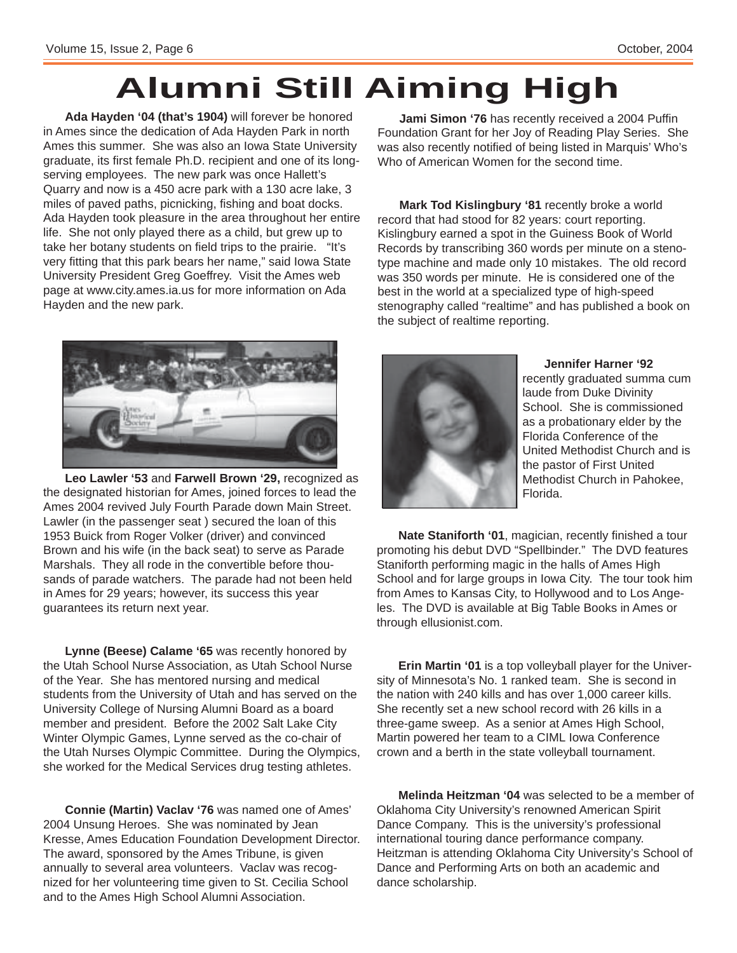# **Alumni Still Aiming High**

**Ada Hayden '04 (that's 1904)** will forever be honored in Ames since the dedication of Ada Hayden Park in north Ames this summer. She was also an Iowa State University graduate, its first female Ph.D. recipient and one of its longserving employees. The new park was once Hallett's Quarry and now is a 450 acre park with a 130 acre lake, 3 miles of paved paths, picnicking, fishing and boat docks. Ada Hayden took pleasure in the area throughout her entire life. She not only played there as a child, but grew up to take her botany students on field trips to the prairie. "It's very fitting that this park bears her name," said Iowa State University President Greg Goeffrey. Visit the Ames web page at www.city.ames.ia.us for more information on Ada Hayden and the new park.

**Jami Simon '76** has recently received a 2004 Puffin Foundation Grant for her Joy of Reading Play Series. She was also recently notified of being listed in Marquis' Who's Who of American Women for the second time.

**Mark Tod Kislingbury '81** recently broke a world record that had stood for 82 years: court reporting. Kislingbury earned a spot in the Guiness Book of World Records by transcribing 360 words per minute on a stenotype machine and made only 10 mistakes. The old record was 350 words per minute. He is considered one of the best in the world at a specialized type of high-speed stenography called "realtime" and has published a book on the subject of realtime reporting.



**Leo Lawler '53** and **Farwell Brown '29,** recognized as the designated historian for Ames, joined forces to lead the Ames 2004 revived July Fourth Parade down Main Street. Lawler (in the passenger seat ) secured the loan of this 1953 Buick from Roger Volker (driver) and convinced Brown and his wife (in the back seat) to serve as Parade Marshals. They all rode in the convertible before thousands of parade watchers. The parade had not been held in Ames for 29 years; however, its success this year guarantees its return next year.

**Lynne (Beese) Calame '65** was recently honored by the Utah School Nurse Association, as Utah School Nurse of the Year. She has mentored nursing and medical students from the University of Utah and has served on the University College of Nursing Alumni Board as a board member and president. Before the 2002 Salt Lake City Winter Olympic Games, Lynne served as the co-chair of the Utah Nurses Olympic Committee. During the Olympics, she worked for the Medical Services drug testing athletes.

**Connie (Martin) Vaclav '76** was named one of Ames' 2004 Unsung Heroes. She was nominated by Jean Kresse, Ames Education Foundation Development Director. The award, sponsored by the Ames Tribune, is given annually to several area volunteers. Vaclav was recognized for her volunteering time given to St. Cecilia School and to the Ames High School Alumni Association.



**Jennifer Harner '92**

recently graduated summa cum laude from Duke Divinity School. She is commissioned as a probationary elder by the Florida Conference of the United Methodist Church and is the pastor of First United Methodist Church in Pahokee, Florida.

**Nate Staniforth '01**, magician, recently finished a tour promoting his debut DVD "Spellbinder." The DVD features Staniforth performing magic in the halls of Ames High School and for large groups in Iowa City. The tour took him from Ames to Kansas City, to Hollywood and to Los Angeles. The DVD is available at Big Table Books in Ames or through ellusionist.com.

**Erin Martin '01** is a top volleyball player for the University of Minnesota's No. 1 ranked team. She is second in the nation with 240 kills and has over 1,000 career kills. She recently set a new school record with 26 kills in a three-game sweep. As a senior at Ames High School, Martin powered her team to a CIML Iowa Conference crown and a berth in the state volleyball tournament.

**Melinda Heitzman '04** was selected to be a member of Oklahoma City University's renowned American Spirit Dance Company. This is the university's professional international touring dance performance company. Heitzman is attending Oklahoma City University's School of Dance and Performing Arts on both an academic and dance scholarship.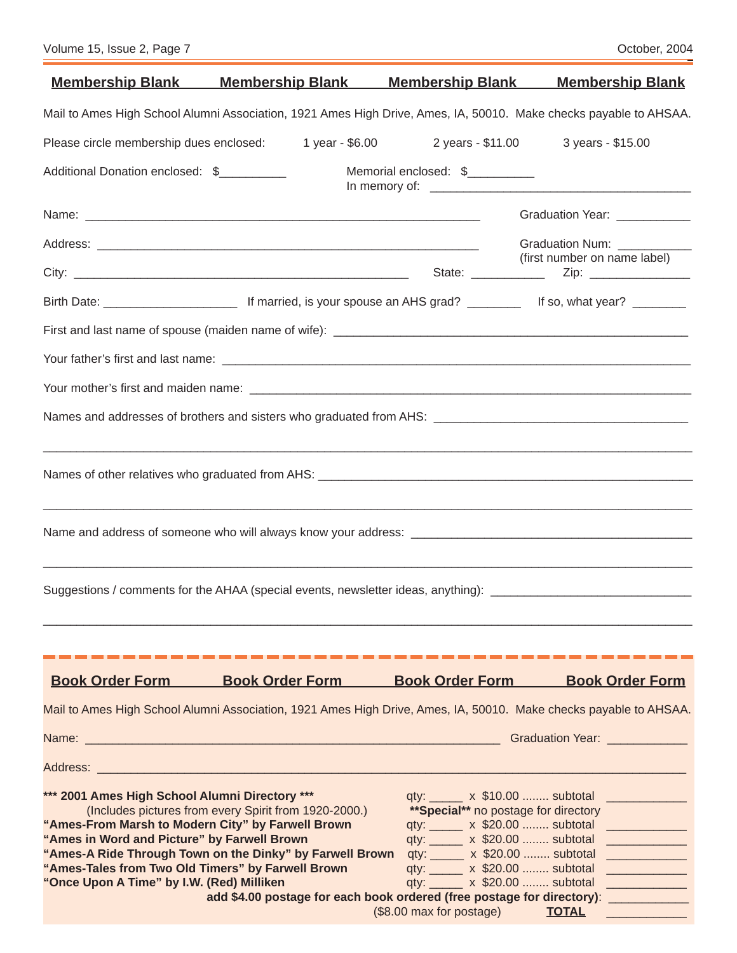Ξ

Ξ

|                                                                                                                                                                                                         | <u>Membership Blank Membership Blank</u>                                                                                                                                                           | <u>Membership Blank</u>                                                                                                                                                          | <b>Membership Blank</b>                                                                                                                              |
|---------------------------------------------------------------------------------------------------------------------------------------------------------------------------------------------------------|----------------------------------------------------------------------------------------------------------------------------------------------------------------------------------------------------|----------------------------------------------------------------------------------------------------------------------------------------------------------------------------------|------------------------------------------------------------------------------------------------------------------------------------------------------|
|                                                                                                                                                                                                         | Mail to Ames High School Alumni Association, 1921 Ames High Drive, Ames, IA, 50010. Make checks payable to AHSAA.                                                                                  |                                                                                                                                                                                  |                                                                                                                                                      |
| Please circle membership dues enclosed:                                                                                                                                                                 | 1 year - \$6.00                                                                                                                                                                                    |                                                                                                                                                                                  | 2 years - \$11.00 3 years - \$15.00                                                                                                                  |
| Additional Donation enclosed: \$                                                                                                                                                                        |                                                                                                                                                                                                    | Memorial enclosed: \$                                                                                                                                                            |                                                                                                                                                      |
|                                                                                                                                                                                                         |                                                                                                                                                                                                    |                                                                                                                                                                                  | Graduation Year: ___________                                                                                                                         |
|                                                                                                                                                                                                         |                                                                                                                                                                                                    |                                                                                                                                                                                  | Graduation Num: ___________                                                                                                                          |
|                                                                                                                                                                                                         |                                                                                                                                                                                                    |                                                                                                                                                                                  | (first number on name label)                                                                                                                         |
|                                                                                                                                                                                                         |                                                                                                                                                                                                    |                                                                                                                                                                                  |                                                                                                                                                      |
|                                                                                                                                                                                                         |                                                                                                                                                                                                    |                                                                                                                                                                                  |                                                                                                                                                      |
|                                                                                                                                                                                                         |                                                                                                                                                                                                    |                                                                                                                                                                                  |                                                                                                                                                      |
|                                                                                                                                                                                                         |                                                                                                                                                                                                    |                                                                                                                                                                                  |                                                                                                                                                      |
|                                                                                                                                                                                                         |                                                                                                                                                                                                    |                                                                                                                                                                                  |                                                                                                                                                      |
|                                                                                                                                                                                                         |                                                                                                                                                                                                    |                                                                                                                                                                                  |                                                                                                                                                      |
|                                                                                                                                                                                                         |                                                                                                                                                                                                    |                                                                                                                                                                                  |                                                                                                                                                      |
|                                                                                                                                                                                                         | ,我们就会在这里的,我们就会在这里的,我们就会在这里,我们就会在这里的时候,我们就会在这里,我们就会在这里的时候,我们就会在这里,我们就会在这里的时候,我们就会<br>Suggestions / comments for the AHAA (special events, newsletter ideas, anything): ____________________________ |                                                                                                                                                                                  |                                                                                                                                                      |
|                                                                                                                                                                                                         |                                                                                                                                                                                                    |                                                                                                                                                                                  |                                                                                                                                                      |
| <b>Book Order Form</b>                                                                                                                                                                                  | <b>Book Order Form</b>                                                                                                                                                                             | <b>Book Order Form</b>                                                                                                                                                           | <b>Book Order Form</b>                                                                                                                               |
|                                                                                                                                                                                                         | Mail to Ames High School Alumni Association, 1921 Ames High Drive, Ames, IA, 50010. Make checks payable to AHSAA.                                                                                  |                                                                                                                                                                                  |                                                                                                                                                      |
|                                                                                                                                                                                                         |                                                                                                                                                                                                    |                                                                                                                                                                                  | Graduation Year: Entertainment of the Control                                                                                                        |
|                                                                                                                                                                                                         | Address: Address:                                                                                                                                                                                  |                                                                                                                                                                                  |                                                                                                                                                      |
| *** 2001 Ames High School Alumni Directory ***<br>"Ames-From Marsh to Modern City" by Farwell Brown<br>"Ames in Word and Picture" by Farwell Brown<br>"Ames-Tales from Two Old Timers" by Farwell Brown | (Includes pictures from every Spirit from 1920-2000.)<br>"Ames-A Ride Through Town on the Dinky" by Farwell Brown                                                                                  | qty: x \$10.00  subtotal<br>**Special** no postage for directory<br>qty: x \$20.00  subtotal<br>qty: x \$20.00  subtotal<br>qty: x \$20.00  subtotal<br>qty: x \$20.00  subtotal | <b>CONTRACTOR</b><br><b>CONTRACTOR</b><br><u> 1999 - Jan Barnett, fransk politiker (</u><br><u> 1989 - Jan James James Barnett, fransk politik (</u> |
| "Once Upon A Time" by I.W. (Red) Milliken                                                                                                                                                               |                                                                                                                                                                                                    | qty: ______ x \$20.00  subtotal                                                                                                                                                  | <u> 1989 - Jan James James Barnett, fransk politik (</u><br><u> 1999 - Johann Barnett, fransk politiker</u>                                          |
|                                                                                                                                                                                                         | add \$4.00 postage for each book ordered (free postage for directory):                                                                                                                             | (\$8.00 max for postage)                                                                                                                                                         | <u> 1999 - Johann Barn, mars ar breith</u><br><b>TOTAL</b>                                                                                           |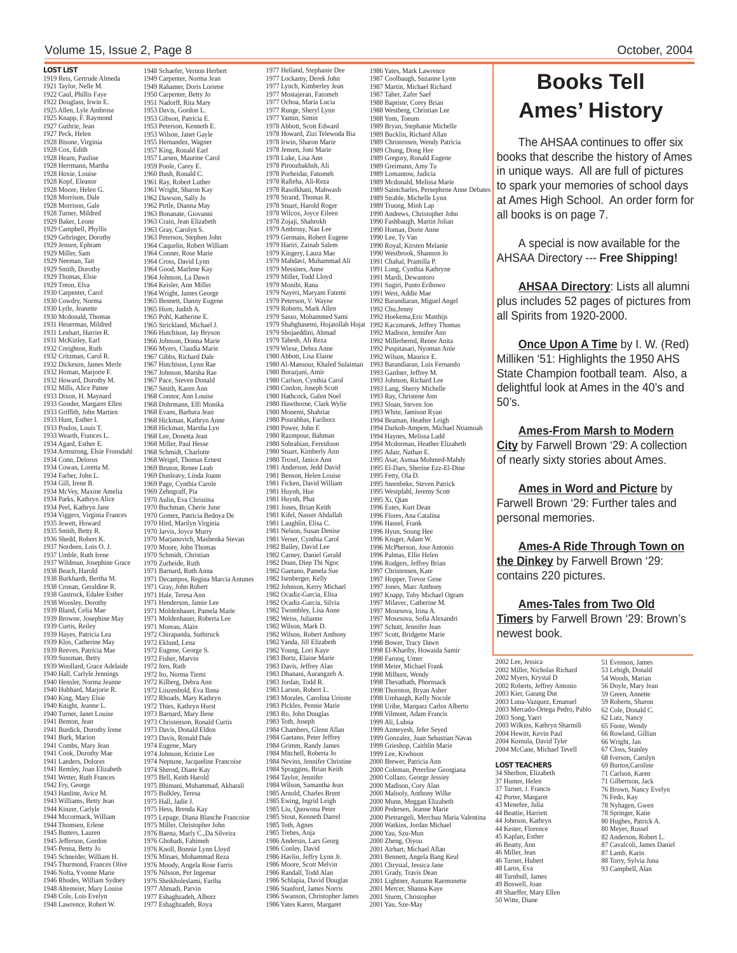#### Volume 15, Issue 2, Page 8 **October, 2004** Column 2004 2004

1919 Reis, Gertrude Almeda 1921 Taylor, Nelle M. 1922 Caul, Phillis Faye 1922 Douglass, Irwin E. 1925 Allen, Lyle Ambrose 1925 Knapp, F. Raymond 1927 Guthrie, Jean 1927 Peck, Helen 1928 Bisone, Virginia 1928 Cox, Edith 1928 Hearn, Pauline 1928 Herrmann, Martha 1928 Hoxie, Louise 1928 Kopf, Eleanor 1928 Moore, Helen G. 1928 Morrison, Dale 1928 Morrison, Gale 1928 Turner, Mildred 1929 Baker, Leone 1929 Campbell, Phyllis 1929 Gehringer, Dorothy 1929 Jensen, Ephram 1929 Miller, Sam 1929 Neeman, Tait 1929 Smith, Dorothy 1929 Thomas, Elsie 1929 Treon, Elva 1930 Carpenter, Carol 1930 Cowdry, Norma 1930 Lytle, Jeanette 1930 Mcdonald, Thomas 1931 Heuerman, Mildred 1931 Lenhart, Harriet R. 1931 McKinley, Earl 1932 Creighton, Ruth 1932 Critzman, Carol R. 1932 Dickeson, James Merle 1932 Homan, Marjorie F. 1932 Howard, Dorothy M. 1932 Mills, Alice Pattee 1933 Dixon, H. Maynard 1933 Gonder, Margaret Ellen 1933 Griffith, John Martien 1933 Hunt, Esther I. 1933 Poulos, Louis T. 1933 Wearth, Frances L. 1934 Agard, Esther E. 1934 Armstrong, Elsie Fronsdahl 1934 Conn, Delorus 1934 Cowan, Loretta M. 1934 Farber, John L. 1934 Gill, Irene B. 1934 McVey, Maxine Amelia 1934 Parks, Kathryn Alice 1934 Peel, Kathryn Jane 1934 Viggers, Virginia Frances 1935 Jewett, Howard 1935 Smith, Betty R. 1936 Shedd, Robert K. 1937 Nordeen, Lois O. J. 1937 Umble, Ruth Irene 1937 Wildman, Josephine Grace 1938 Beach, Harold 1938 Burkhardt, Bertha M. 1938 Cronan, Geraldine R. 1938 Gastrock, Edalee Esther 1938 Woosley, Dorothy 1939 Bland, Celia Mae 1939 Browne, Josephine May 1939 Curtis, Reiley 1939 Hayes, Patricia Lea 1939 Klos, Catherine May 1939 Reeves, Patricia Mae 1939 Sussman, Betty 1939 Woollard, Grace Adelaide 1940 Hall, Carlyle Jennings 1940 Hensler, Norma Jeanne 1940 Hubbard, Marjorie R. 1940 King, Mary Elsie 1940 Knight, Jeanne L. 1940 Turner, Janet Louise 1941 Benton, Jean 1941 Burdick, Dorothy Irene 1941 Burk, Marion 1941 Combs, Mary Jean 1941 Cook, Dorothy Mae 1941 Landers, Dolores 1941 Remley, Joan Elizabeth 1941 Wetter, Ruth Frances 1942 Fry, George 1943 Hanline, Avice M. 1943 Williams, Betty Jean 1944 Kinzer, Carlyle 1944 Mccormack, William 1944 Thomsen, Erlene 1945 Butters, Lauren 1945 Jefferson, Gordon 1945 Penna, Betty Jo 1945 Schneider, William H. 1945 Thurmond, Frances Olive 1946 Nolta, Yvonne Marie 1946 Rhodes, William Sydney 1948 Altemeier, Mary Louise 1948 Cole, Lois Evelyn 1948 Lawrence, Robert W.

1948 Schaefer, Vernon Herbert 1949 Carpenter, Norma Jean 1949 Rahamer, Doris Loriene 1950 Carpenter, Betty Jo 1951 Nadorff, Rita Mary 1953 Davis, Gordon L. 1953 Gibson, Patricia E. 1953 Peterson, Kenneth E. 1953 Wilson, Janet Gayle 1955 Wilson, Suite 1957 King, Ronald Earl 1957 Larsen, Maurine Carol 1959 Poole, Carey E. 1960 Bush, Ronald C. 1961 Ray, Robert Luther 1961 Wright, Sharon Kay 1962 Dawson, Sally Jo 1962 Pirtle, Dianna May 1963 Bonanate, Giovanni 1963 Crain, Jean Elizabeth 1963 Gray, Carolyn S. 1963 Peterson, Stephen John 1964 Caquelin, Robert William 1964 Conner, Rose Marie 1964 Cross, David Lynn 1964 Good, Marlene Kay 1964 Johnson, La Dawn 1964 Keisler, Ann Miller 1964 Wright, James George 1965 Bennett, Danny Eugene 1965 Horn, Judith A. 1965 Pohl, Katherine E. 1965 Strickland, Michael J. 1966 Hutchison, Jay Bryson 1966 Johnson, Donna Marie 1966 Myers, Claudia Marie 1967 Gibbs, Richard Dale 1967 Hutchison, Lynn Rae 1967 Johnson, Marsha Rae 1967 Pace, Steven Donald 1967 Smith, Karen Ann 1968 Connor, Ann Louise 1968 Dohrmann, Elfi Monika 1968 Evans, Barbara Jean 1968 Hickman, Kathryn Anne 1968 Hickman, Marsha Lyn 1968 Lee, Donetta Jean 1968 Miller, Paul Hesse 1968 Schmidt, Charlotte 1968 Weigel, Thomas Ernest 1969 Bruton, Renee Leah 1969 Dunleavy, Linda Joann 1969 Page, Cynthia Carole 1969 Zehngraff, Pia 1970 Aulin, Eva Christina 1970 Buchman, Cherie June 1970 Gomez, Patricia Bedoya De 1970 Hird, Marilyn Virginia 1970 Jarvis, Joyce Murry 1970 Marjanovich, Mashenka Stevan 1970 Moore, John Thomas 1970 Schmidt, Christian 1970 Zurheide, Ruth 1971 Barnard, Ruth Anna 1971 Decampos, Regina Marcia Antunes 1971 Gray, John Robert 1971 Hale, Teresa Ann 1971 Henderson, Jamie Lee 1971 Moldenhauer, Pamela Marie 1971 Moldenhauer, Roberta Lee 1971 Moreau, Alain 1972 Chirapanda, Suthiruck 1972 Eklund, Lena 1972 Eugene, George S. 1972 Fisher, Marvin 1972 Iten, Ruth 1972 Ito, Norma Tiemi 1972 Kilberg, Debra Ann 1972 Linzenbold, Eva Ilona 1972 Rhoads, Mary Kathryn 1972 Thies, Kathryn Hurst 1973 Barnard, Mary Ilene 1973 Christenson, Ronald Curtis 1973 Davis, Donald Eldon 1973 Davis, Ronald Dale 1974 Eugene, Mary 1974 Johnson, Kristie Lee 1974 Neptune, Jacqueline Francoise 1974 Sherod, Diane Kay 1975 Bell, Keith Harold 1975 Bhimani, Muhammad, Akbarali 1975 Bulkley, Teresa 1975 Hall, Jadie J. 1975 Hess, Brenda Kay 1975 Lepage, Diana Blanche Francoise 1975 Miller, Christopher John 1976 Baena, Marly C.,Da Silveira 1976 Ghobadi, Fahimeh 1976 Knoll, Bonnie Lynn Lloyd 1976 Minaei, Mohammad Reza 1976 Moody, Angela Rose Farris 1976 Nilsson, Per Ingemar 1976 Sheikholeslami, Fariba 1977 Ahmadi, Parvin 1977 Eshaghzadeh, Alborz 1977 Eshaghzadeh, Roya

1977 Helland, Stephanie Dee 1977 Lockamy, Derek John 1977 Lynch, Kimberley Jean 1977 Mostajeran, Fatomeh 1977 Ochoa, Maria Lucia 1977 Runge, Sheryl Lynn 1977 Yamin, Simin 1978 Abbott, Scott Edward 1978 Howard, Zizi Telewoda Bia 1978 Irwin, Sharon Marie 1978 Jensen, Joni Marie 1978 Luke, Lisa Ann 1978 Piroozbakhsh, Ali 1978 Porheidar, Fatomeh 1978 Rafieha, Ali-Reza 1978 Rasolkhani, Mahwash 1978 Strand, Thomas R. 1978 Stuart, Harold Roger 1978 Wilcox, Joyce Eileen 1978 Zojaji, Shahrokh 1979 Ambrosy, Nan Lee 1979 Germain, Robert Eugene 1979 Hariri, Zainab Salem 1979 Kingery, Laura Mae 1979 Mahdavi, Muhammad Ali 1979 Messines, Anne 1979 Miller, Todd Lloyd 1979 Monibi, Rana 1979 Nayeri, Maryam Fatemi 1979 Peterson, V. Wayne 1979 Roberts, Mark Allen 1979 Sasso, Mohammed Sami 1979 Shahghasemi, Hojatollah Hojat 1979 Shojaeddini, Ahmad 1979 Tabesh, Ali Reza 1979 Wiese, Debra Anne 1980 Abbott, Lisa Elaine 1980 Al-Mansour, Khaled Sulaiman 1980 Borazjani, Amir 1980 Carlson, Cynthia Carol 1980 Conlon, Joseph Scott 1980 Hathcock, Galen Noel 1980 Hawthorne, Clark Wylie 1980 Monemi, Shahriar 1980 Pourabbas, Fariborz 1980 Power, John F. 1980 Razmpour, Bahman 1980 Sohrabian, Fereidoon 1980 Stuart, Kimberly Ann 1980 Troxel, Janice Ann 1981 Anderson, Jedd David 1981 Benson, Helen Louise 1981 Ficken, David William 1981 Huynh, Hue 1981 Huynh, Phat 1981 Jones, Brian Keith 1981 Kifel, Nasser Abdallah 1981 Laughlin, Elisa C. 1981 Nelson, Susan Denise 1981 Verser, Cynthia Carol 1982 Bailey, David Lee 1982 Carney, Daniel Gerald 1982 Doan, Diep Thi Ngoc 1982 Gaetano, Pamela Sue 1982 Isenberger, Kelly 1982 Johnson, Kerry Michael 1982 Ocadiz-Garcia, Elisa 1982 Ocadiz-Garcia, Silvia 1982 Twombley, Lisa Anne 1982 Weiss, Julianne 1982 Wilson, Mark D. 1982 Wilson, Robert Anthony 1982 Yanda, Jill Elizabeth 1982 Young, Lori Kaye 1983 Bortz, Elaine Marie 1983 Davis, Jeffrey Alan 1983 Dhanani, Aurangzeb A. 1983 Jordan, Todd R. 1983 Larson, Robert L. 1983 Morales, Carolina Urioste 1983 Pickles, Pennie Marie 1983 Ro, John Douglas 1983 Toth, Joseph 1984 Chambers, Glenn Allan 1984 Gaetano, Peter Jeffrey 1984 Grimm, Randy James 1984 Mitchell, Roberta Jo 1984 Nevins, Jennifer Christine 1984 Spraggins, Brian Keith 1984 Taylor, Jennifer 1984 Wilson, Samantha Jean 1985 Arnold, Charles Brent 1985 Ewing, Ingrid Leigh 1985 Liu, Quowona Peter 1985 Stout, Kenneth Darrel 1985 Toth, Agnes 1985 Trebes, Anja 1986 Andersin, Lars Georg 1986 Conley, David 1986 Havlin, Jeffry Lynn Jr. 1986 Moore, Scott Melvin 1986 Randall, Todd Alan 1986 Schlapia, David Douglas 1986 Stanford, James Norris 1986 Swanson, Christopher James 1986 Yates Karen, Margaret

1986 Yates, Mark Lawrence 1987 Coolbaugh, Suzanne Lynn 1987 Martin, Michael Richard 1987 Taher, Zafer Saef 1988 Baptiste, Corey Brian 1988 Westberg, Christian Lee 1988 Yom, Toeum 1989 Bryan, Stephanie Michelle 1989 Bucklin, Richard Allan 1989 Christensen, Wendy Patricia 1989 Chung, Dong Hee 1989 Gregory, Ronald Eugene 1989 Greimann, Amy Tu 1989 Lomantow, Judicia 1989 Mcdonald, Melissa Marie 1989 Saintcharles, Persephene Anne Debates 1989 Strable, Michelle Lynn 1989 Truong, Minh Lap 1990 Andrews, Christopher John 1990 Fashbaugh, Martin Jolian 1990 Homan, Dorie Anne 1990 Lee, Ty Van 1990 Royal, Kirsten Melanie 1990 Westbrook, Shannon Jo 1991 Chahal, Pramilla P. 1991 Long, Cynthia Kathryne 1991 Mardi, Dewantoro 1991 Sugiri, Punto Eribowo 1991 West, Addie Mae 1992 Barandiaran, Miguel Angel 1992 Chu,Jenny 1992 Hoekema,Eric Matthijs 1992 Kaczmarek, Jeffrey Thomas 1992 Madison, Jennifer Ann 1992 Millerbernd, Renee Anita 1992 Puspitasari, Nyoman Anie 1992 Wilson, Maurice E. 1993 Barandiaran, Luis Fernando 1993 Gardner, Jeffrey M. 1993 Johnson, Richard Lee 1993 Lang, Sherry Michelle 1993 Ray, Christene Ann 1993 Sloan, Steven Jon 1993 White, Jamison Ryan 1994 Beaman, Heather Leigh 1994 Darkoh-Ampem, Michael Ntiamoah 1994 Haynes, Melissa Ladd 1994 Mcdorman, Heather Elizabeth 1995 Adair, Nathan E. 1995 Asar, Asmaa Mohmed-Mahdy 1995 El-Dars, Sherine Ezz-El-Dine 1995 Fetty, Ola D. 1995 Steenbeke, Steven Patrick 1995 Westpfahl, Jeremy Scott 1995 Xi, Qian 1996 Estes, Kurt Dean 1996 Flores, Ana Catalina 1996 Hassel, Frank 1996 Hyun, Soung Hee 1996 Kruger, Adam W. 1996 McPherson, Jose Antonio 1996 Palmas, Ellie Helen 1996 Rodgers, Jeffrey Brian 1997 Christensen, Kate 1997 Hopper, Trevor Gene 1997 Jones, Marc Anthony 1997 Knapp, Toby Michael Ogram 1997 Milavec, Catherine M. 1997 Mosesova, Irina A. 1997 Mosesova, Sofia Alexandri 1997 Schutt, Jennifer Jean 1997 Scott, Bridgette Marie 1998 Bower, Tracy Dawn 1998 El-Khariby, Howaida Samir 1998 Farooq, Umer 1998 Meier, Michael Frank 1998 Milburn, Wendy 1998 Thevathath, Phornsack 1998 Thornton, Bryan Asher 1998 Umbaugh, Kelly Nocole 1998 Uribe, Marquez Carlos Alberto 1998 Vilmont, Adam Francis 1999 Ali, Lubna 1999 Azmeyesh, Jefer Seyed 1999 Gonzalez, Juan Sebastian Navas 1999 Grieshop, Caithlin Marie 1999 Lee, Kiwhoon 2000 Brewer, Patricia Ann 2000 Coleman, Peterline Georgiana 2000 Collazo, George Jessiey 2000 Madison, Cory Alan 2000 Malooly, Anthony Wilke 2000 Munn, Meggan Elizabeth 2000 Pedersen, Jeanne Marie 2000 Pietrangeli, Merchau Maria Valentina 2000 Watkins, Jordan Michael 2000 Yau, Szu-Mun 2000 Zheng, Oiyou 2001 Airhart, Michael Allan 2001 Bennett, Angela Bang Keul 2001 Chrystal, Jessica Jane 2001 Grady, Travis Dean 2001 Lightner, Autumn Raemonette 2001 Mercer, Shanna Kaye 2001 Sturm, Christopher 2001 Yau, Sze-May

### **Books Tell Ames' History**

The AHSAA continues to offer six books that describe the history of Ames in unique ways. All are full of pictures to spark your memories of school days at Ames High School. An order form for all books is on page 7.

A special is now available for the AHSAA Directory --- **Free Shipping!**

**AHSAA Directory**: Lists all alumni plus includes 52 pages of pictures from all Spirits from 1920-2000.

**Once Upon A Time** by I. W. (Red) Milliken '51: Highlights the 1950 AHS State Champion football team. Also, a delightful look at Ames in the 40's and 50's.

**Ames-From Marsh to Modern City** by Farwell Brown '29: A collection of nearly sixty stories about Ames.

**Ames in Word and Picture** by Farwell Brown '29: Further tales and personal memories.

**Ames-A Ride Through Town on the Dinkey** by Farwell Brown '29: contains 220 pictures.

**Ames-Tales from Two Old Timers** by Farwell Brown '29: Brown's newest book.

2002 Lee, Jessica 2002 Miller, Nicholas Richard 2002 Myers, Krystal D 2002 Roberts, Jeffrey Ant 2003 Kier, Garang Dut 2003 Luna-Vazquez, Emanuel 2003 Mercado-Ortega Pedro, Pablo 2003 Song, Yaeri 2003 Wilkins, Kathryn Sharmili 2004 Hewitt, Kevin Paul 2004 Komula, David Tyler 2004 McCane, Michael Tevell

**LOST TEACHERS** 34 Sherbon, Elizabeth 37 Hunter, Helen 37 Turner, J. Francis 42 Porter, Margaret 43 Menefee, Julia 44 Beattie, Harriett 44 Johnson, Kathryn 44 Kester, Florence 45 Kaplan, Esther 46 Beatty, Ann 46 Miller, Jean 46 Turner, Hubert 48 Laros, Eva 48 Turnbull, James 49 Boswell, Joan 49 Shaeffer, Mary Ellen 50 Witte, Diane 51 Evenson, James 53 Lehigh, Donald 54 Woods, Marian 56 Doyle, Mary Jean 59 Green, Annette 59 Roberts, Sharon 62 Cole, Donald C. 62 Lutz, Nancy 65 Foote, Wendy 66 Rowland, Gillian 66 Wright, Jan 67 Closs, Stanley 68 Iverson, Carolyn 69 Burton,Caroline 71 Carlson, Karen 71 Gilbertson, Jack 76 Brown, Nancy Evelyn 76 Fedo, Kay 78 Nyhagen, Gwen 78 Springer, Katie 80 Hughes, Patrick A. 80 Meyer, Russel 82 Anderson, Robert L. 87 Cavalcoli, James Daniel 87 Lamb, Karin 88 Torry, Sylvia Juna 93 Campbell, Alan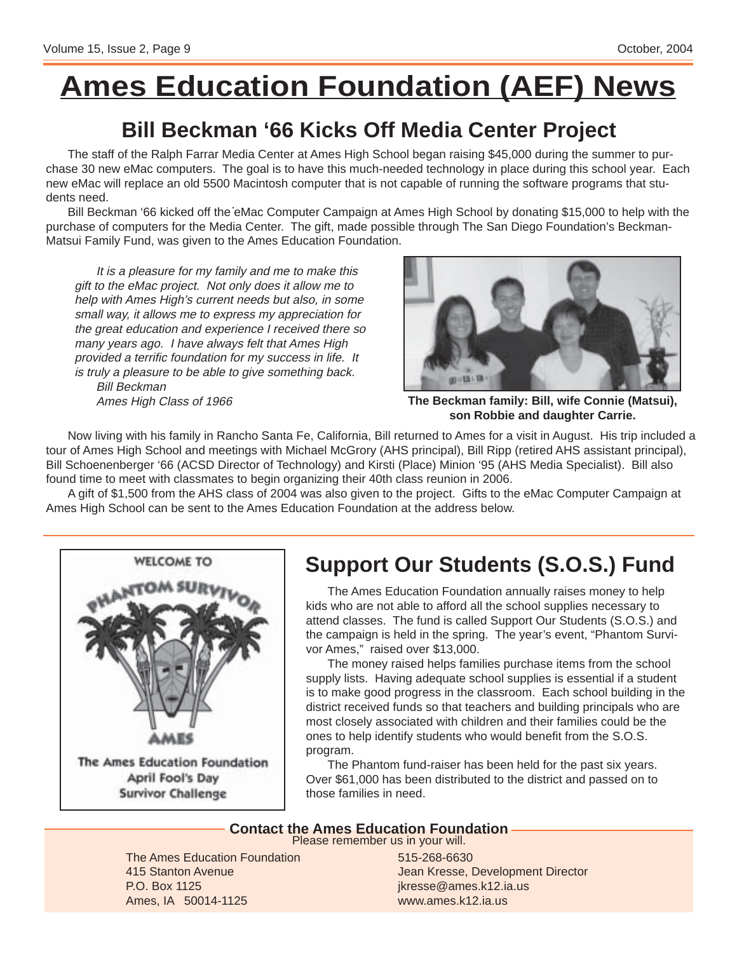# **Ames Education Foundation (AEF) News**

### **Bill Beckman '66 Kicks Off Media Center Project**

The staff of the Ralph Farrar Media Center at Ames High School began raising \$45,000 during the summer to purchase 30 new eMac computers. The goal is to have this much-needed technology in place during this school year. Each new eMac will replace an old 5500 Macintosh computer that is not capable of running the software programs that students need.

Bill Beckman '66 kicked off the eMac Computer Campaign at Ames High School by donating \$15,000 to help with the purchase of computers for the Media Center. The gift, made possible through The San Diego Foundation's Beckman-Matsui Family Fund, was given to the Ames Education Foundation.

It is a pleasure for my family and me to make this gift to the eMac project. Not only does it allow me to help with Ames High's current needs but also, in some small way, it allows me to express my appreciation for the great education and experience I received there so many years ago. I have always felt that Ames High provided a terrific foundation for my success in life. It is truly a pleasure to be able to give something back. Bill Beckman

Ames High Class of 1966



**The Beckman family: Bill, wife Connie (Matsui), son Robbie and daughter Carrie.**

Now living with his family in Rancho Santa Fe, California, Bill returned to Ames for a visit in August. His trip included a tour of Ames High School and meetings with Michael McGrory (AHS principal), Bill Ripp (retired AHS assistant principal), Bill Schoenenberger '66 (ACSD Director of Technology) and Kirsti (Place) Minion '95 (AHS Media Specialist). Bill also found time to meet with classmates to begin organizing their 40th class reunion in 2006.

A gift of \$1,500 from the AHS class of 2004 was also given to the project. Gifts to the eMac Computer Campaign at Ames High School can be sent to the Ames Education Foundation at the address below.



## **Support Our Students (S.O.S.) Fund**

The Ames Education Foundation annually raises money to help kids who are not able to afford all the school supplies necessary to attend classes. The fund is called Support Our Students (S.O.S.) and the campaign is held in the spring. The year's event, "Phantom Survivor Ames," raised over \$13,000.

The money raised helps families purchase items from the school supply lists. Having adequate school supplies is essential if a student is to make good progress in the classroom. Each school building in the district received funds so that teachers and building principals who are most closely associated with children and their families could be the ones to help identify students who would benefit from the S.O.S. program.

The Phantom fund-raiser has been held for the past six years. Over \$61,000 has been distributed to the district and passed on to those families in need.

#### **Contact the Ames Education Foundation**

Please remember us in your will.

The Ames Education Foundation 415 Stanton Avenue P.O. Box 1125 Ames, IA 50014-1125

515-268-6630 Jean Kresse, Development Director jkresse@ames.k12.ia.us www.ames.k12.ia.us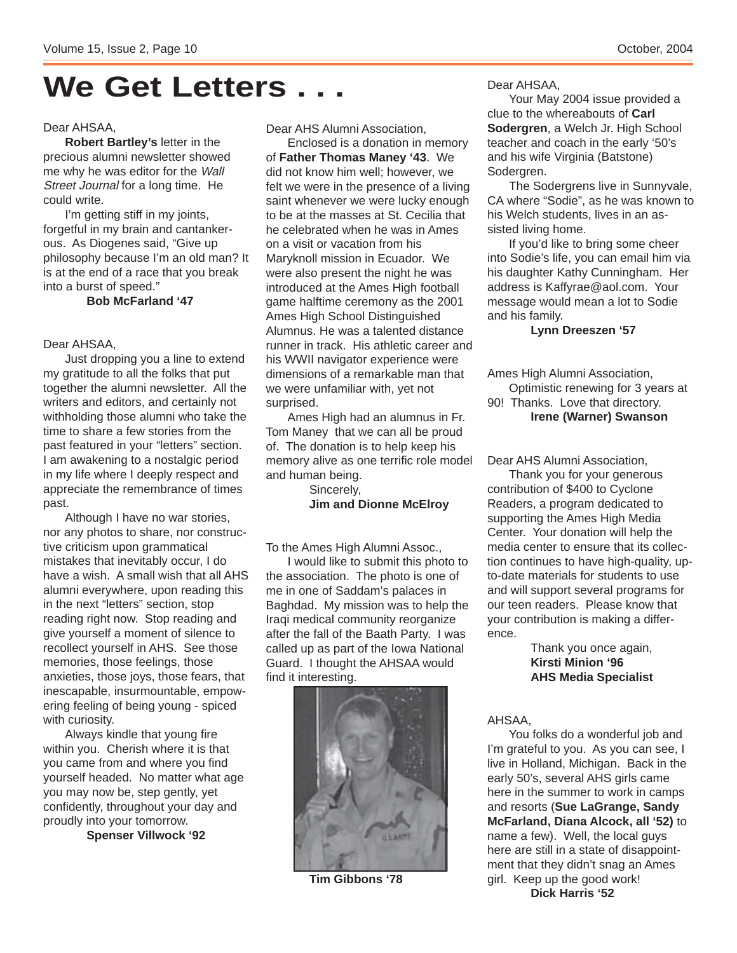# **We Get Letters . . .**

#### Dear AHSAA,

**Robert Bartley's** letter in the precious alumni newsletter showed me why he was editor for the Wall Street Journal for a long time. He could write.

I'm getting stiff in my joints, forgetful in my brain and cantankerous. As Diogenes said, "Give up philosophy because I'm an old man? It is at the end of a race that you break into a burst of speed."

**Bob McFarland '47**

#### Dear AHSAA,

Just dropping you a line to extend my gratitude to all the folks that put together the alumni newsletter. All the writers and editors, and certainly not withholding those alumni who take the time to share a few stories from the past featured in your "letters" section. I am awakening to a nostalgic period in my life where I deeply respect and appreciate the remembrance of times past.

Although I have no war stories, nor any photos to share, nor constructive criticism upon grammatical mistakes that inevitably occur, I do have a wish. A small wish that all AHS alumni everywhere, upon reading this in the next "letters" section, stop reading right now. Stop reading and give yourself a moment of silence to recollect yourself in AHS. See those memories, those feelings, those anxieties, those joys, those fears, that inescapable, insurmountable, empowering feeling of being young - spiced with curiosity.

Always kindle that young fire within you. Cherish where it is that you came from and where you find yourself headed. No matter what age you may now be, step gently, yet confidently, throughout your day and proudly into your tomorrow.

**Spenser Villwock '92**

Dear AHS Alumni Association,

Enclosed is a donation in memory of **Father Thomas Maney '43**. We did not know him well; however, we felt we were in the presence of a living saint whenever we were lucky enough to be at the masses at St. Cecilia that he celebrated when he was in Ames on a visit or vacation from his Maryknoll mission in Ecuador. We were also present the night he was introduced at the Ames High football game halftime ceremony as the 2001 Ames High School Distinguished Alumnus. He was a talented distance runner in track. His athletic career and his WWII navigator experience were dimensions of a remarkable man that we were unfamiliar with, yet not surprised.

Ames High had an alumnus in Fr. Tom Maney that we can all be proud of. The donation is to help keep his memory alive as one terrific role model and human being.

Sincerely,

#### **Jim and Dionne McElroy**

To the Ames High Alumni Assoc.,

I would like to submit this photo to the association. The photo is one of me in one of Saddam's palaces in Baghdad. My mission was to help the Iraqi medical community reorganize after the fall of the Baath Party. I was called up as part of the Iowa National Guard. I thought the AHSAA would find it interesting.

![](_page_9_Picture_19.jpeg)

**Tim Gibbons '78**

Dear AHSAA,

Your May 2004 issue provided a clue to the whereabouts of **Carl Sodergren**, a Welch Jr. High School teacher and coach in the early '50's and his wife Virginia (Batstone) Sodergren.

The Sodergrens live in Sunnyvale, CA where "Sodie", as he was known to his Welch students, lives in an assisted living home.

If you'd like to bring some cheer into Sodie's life, you can email him via his daughter Kathy Cunningham. Her address is Kaffyrae@aol.com. Your message would mean a lot to Sodie and his family.

#### **Lynn Dreeszen '57**

Ames High Alumni Association, Optimistic renewing for 3 years at 90! Thanks. Love that directory. **Irene (Warner) Swanson**

Dear AHS Alumni Association,

Thank you for your generous contribution of \$400 to Cyclone Readers, a program dedicated to supporting the Ames High Media Center. Your donation will help the media center to ensure that its collection continues to have high-quality, upto-date materials for students to use and will support several programs for our teen readers. Please know that your contribution is making a difference.

> Thank you once again, **Kirsti Minion '96 AHS Media Specialist**

AHSAA,

You folks do a wonderful job and I'm grateful to you. As you can see, I live in Holland, Michigan. Back in the early 50's, several AHS girls came here in the summer to work in camps and resorts (**Sue LaGrange, Sandy McFarland, Diana Alcock, all '52)** to name a few). Well, the local guys here are still in a state of disappointment that they didn't snag an Ames girl. Keep up the good work! **Dick Harris '52**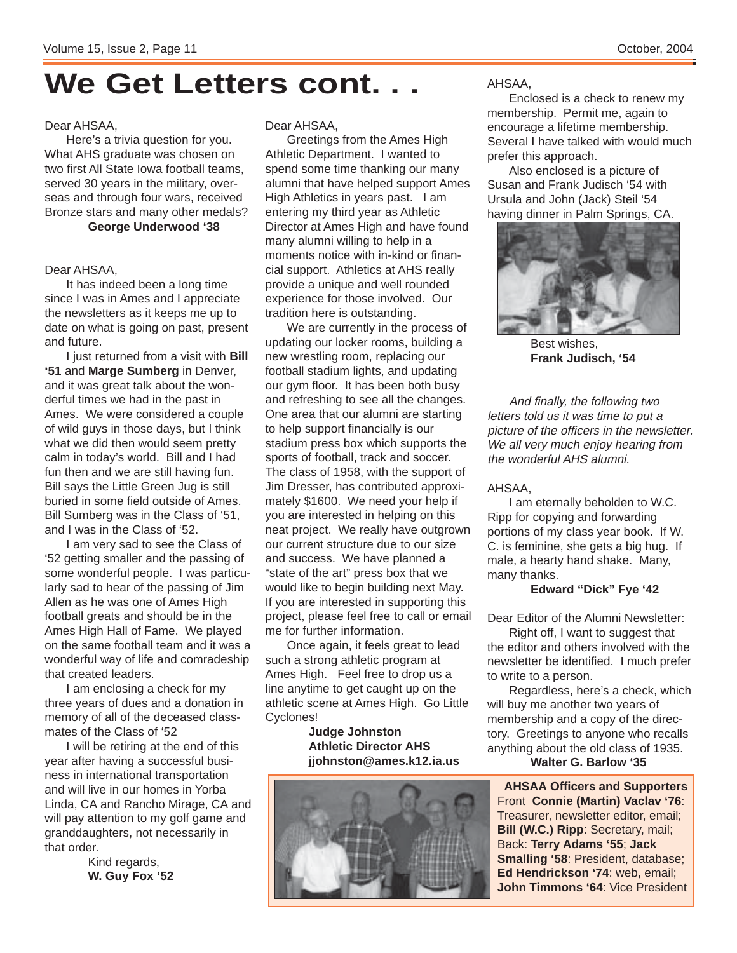# **We Get Letters cont. . .**

#### Dear AHSAA,

Here's a trivia question for you. What AHS graduate was chosen on two first All State Iowa football teams, served 30 years in the military, overseas and through four wars, received Bronze stars and many other medals?

**George Underwood '38**

#### Dear AHSAA,

It has indeed been a long time since I was in Ames and I appreciate the newsletters as it keeps me up to date on what is going on past, present and future.

I just returned from a visit with **Bill '51** and **Marge Sumberg** in Denver, and it was great talk about the wonderful times we had in the past in Ames. We were considered a couple of wild guys in those days, but I think what we did then would seem pretty calm in today's world. Bill and I had fun then and we are still having fun. Bill says the Little Green Jug is still buried in some field outside of Ames. Bill Sumberg was in the Class of '51, and I was in the Class of '52.

I am very sad to see the Class of '52 getting smaller and the passing of some wonderful people. I was particularly sad to hear of the passing of Jim Allen as he was one of Ames High football greats and should be in the Ames High Hall of Fame. We played on the same football team and it was a wonderful way of life and comradeship that created leaders.

I am enclosing a check for my three years of dues and a donation in memory of all of the deceased classmates of the Class of '52

I will be retiring at the end of this year after having a successful business in international transportation and will live in our homes in Yorba Linda, CA and Rancho Mirage, CA and will pay attention to my golf game and granddaughters, not necessarily in that order.

> Kind regards, **W. Guy Fox '52**

#### Dear AHSAA,

Greetings from the Ames High Athletic Department. I wanted to spend some time thanking our many alumni that have helped support Ames High Athletics in years past. I am entering my third year as Athletic Director at Ames High and have found many alumni willing to help in a moments notice with in-kind or financial support. Athletics at AHS really provide a unique and well rounded experience for those involved. Our tradition here is outstanding.

We are currently in the process of updating our locker rooms, building a new wrestling room, replacing our football stadium lights, and updating our gym floor. It has been both busy and refreshing to see all the changes. One area that our alumni are starting to help support financially is our stadium press box which supports the sports of football, track and soccer. The class of 1958, with the support of Jim Dresser, has contributed approximately \$1600. We need your help if you are interested in helping on this neat project. We really have outgrown our current structure due to our size and success. We have planned a "state of the art" press box that we would like to begin building next May. If you are interested in supporting this project, please feel free to call or email me for further information.

Once again, it feels great to lead such a strong athletic program at Ames High. Feel free to drop us a line anytime to get caught up on the athletic scene at Ames High. Go Little Cyclones!

**Judge Johnston Athletic Director AHS jjohnston@ames.k12.ia.us**

![](_page_10_Picture_18.jpeg)

AHSAA,

Enclosed is a check to renew my membership. Permit me, again to encourage a lifetime membership. Several I have talked with would much prefer this approach.

Also enclosed is a picture of Susan and Frank Judisch '54 with Ursula and John (Jack) Steil '54 having dinner in Palm Springs, CA.

![](_page_10_Picture_22.jpeg)

Best wishes, **Frank Judisch, '54**

And finally, the following two letters told us it was time to put a picture of the officers in the newsletter. We all very much enjoy hearing from the wonderful AHS alumni.

#### AHSAA,

I am eternally beholden to W.C. Ripp for copying and forwarding portions of my class year book. If W. C. is feminine, she gets a big hug. If male, a hearty hand shake. Many, many thanks.

#### **Edward "Dick" Fye '42**

Dear Editor of the Alumni Newsletter:

Right off, I want to suggest that the editor and others involved with the newsletter be identified. I much prefer to write to a person.

Regardless, here's a check, which will buy me another two years of membership and a copy of the directory. Greetings to anyone who recalls anything about the old class of 1935. **Walter G. Barlow '35**

**AHSAA Officers and Supporters** Front **Connie (Martin) Vaclav '76**: Treasurer, newsletter editor, email; **Bill (W.C.) Ripp**: Secretary, mail; Back: **Terry Adams '55**; **Jack Smalling '58**: President, database; **Ed Hendrickson '74**: web, email; **John Timmons '64**: Vice President